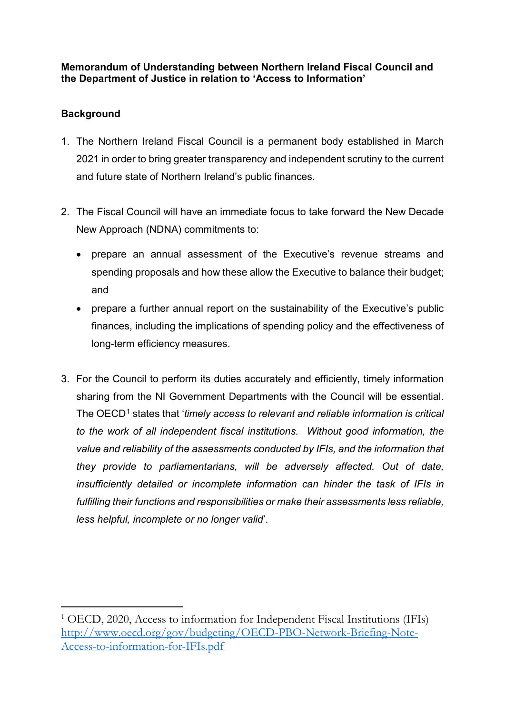# **Memorandum of Understanding between Northern Ireland Fiscal Council and the Department of Justice in relation to 'Access to Information'**

# **Background**

- 1. The Northern Ireland Fiscal Council is a permanent body established in March 2021 in order to bring greater transparency and independent scrutiny to the current and future state of Northern Ireland's public finances.
- 2. The Fiscal Council will have an immediate focus to take forward the New Decade New Approach (NDNA) commitments to:
	- prepare an annual assessment of the Executive's revenue streams and spending proposals and how these allow the Executive to balance their budget; and
	- prepare a further annual report on the sustainability of the Executive's public finances, including the implications of spending policy and the effectiveness of long-term efficiency measures.
- 3. For the Council to perform its duties accurately and efficiently, timely information sharing from the NI Government Departments with the Council will be essential. The OECD[1](#page-0-0) states that '*timely access to relevant and reliable information is critical to the work of all independent fiscal institutions. Without good information, the value and reliability of the assessments conducted by IFIs, and the information that they provide to parliamentarians, will be adversely affected. Out of date, insufficiently detailed or incomplete information can hinder the task of IFIs in fulfilling their functions and responsibilities or make their assessments less reliable, less helpful, incomplete or no longer valid*'.

<span id="page-0-0"></span><sup>&</sup>lt;sup>1</sup> OECD, 2020, Access to information for Independent Fiscal Institutions (IFIs) [http://www.oecd.org/gov/budgeting/OECD-PBO-Network-Briefing-Note-](http://www.oecd.org/gov/budgeting/OECD-PBO-Network-Briefing-Note-Access-to-information-for-IFIs.pdf)[Access-to-information-for-IFIs.pdf](http://www.oecd.org/gov/budgeting/OECD-PBO-Network-Briefing-Note-Access-to-information-for-IFIs.pdf)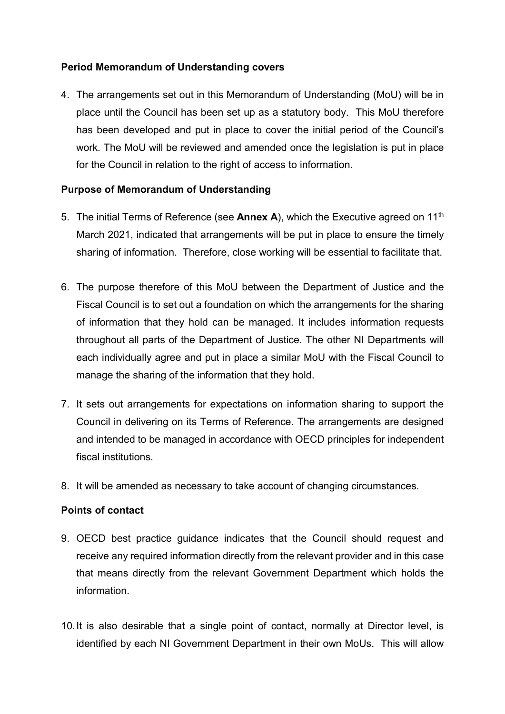# **Period Memorandum of Understanding covers**

4. The arrangements set out in this Memorandum of Understanding (MoU) will be in place until the Council has been set up as a statutory body. This MoU therefore has been developed and put in place to cover the initial period of the Council's work. The MoU will be reviewed and amended once the legislation is put in place for the Council in relation to the right of access to information.

# **Purpose of Memorandum of Understanding**

- 5. The initial Terms of Reference (see **Annex A**), which the Executive agreed on 11th March 2021, indicated that arrangements will be put in place to ensure the timely sharing of information. Therefore, close working will be essential to facilitate that.
- 6. The purpose therefore of this MoU between the Department of Justice and the Fiscal Council is to set out a foundation on which the arrangements for the sharing of information that they hold can be managed. It includes information requests throughout all parts of the Department of Justice. The other NI Departments will each individually agree and put in place a similar MoU with the Fiscal Council to manage the sharing of the information that they hold.
- 7. It sets out arrangements for expectations on information sharing to support the Council in delivering on its Terms of Reference. The arrangements are designed and intended to be managed in accordance with OECD principles for independent fiscal institutions.
- 8. It will be amended as necessary to take account of changing circumstances.

# **Points of contact**

- 9. OECD best practice guidance indicates that the Council should request and receive any required information directly from the relevant provider and in this case that means directly from the relevant Government Department which holds the information.
- 10.It is also desirable that a single point of contact, normally at Director level, is identified by each NI Government Department in their own MoUs. This will allow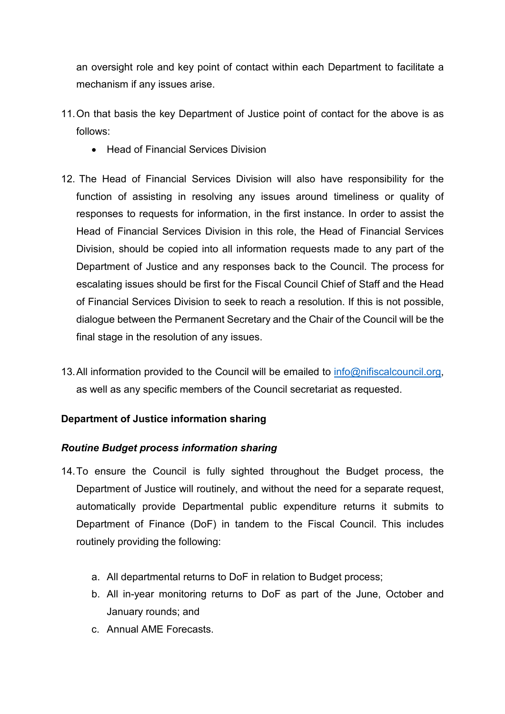an oversight role and key point of contact within each Department to facilitate a mechanism if any issues arise.

- 11.On that basis the key Department of Justice point of contact for the above is as follows:
	- Head of Financial Services Division
- 12. The Head of Financial Services Division will also have responsibility for the function of assisting in resolving any issues around timeliness or quality of responses to requests for information, in the first instance. In order to assist the Head of Financial Services Division in this role, the Head of Financial Services Division, should be copied into all information requests made to any part of the Department of Justice and any responses back to the Council. The process for escalating issues should be first for the Fiscal Council Chief of Staff and the Head of Financial Services Division to seek to reach a resolution. If this is not possible, dialogue between the Permanent Secretary and the Chair of the Council will be the final stage in the resolution of any issues.
- 13. All information provided to the Council will be emailed to [info@nifiscalcouncil.org,](mailto:info@nifiscalcouncil.org) as well as any specific members of the Council secretariat as requested.

# **Department of Justice information sharing**

# *Routine Budget process information sharing*

- 14.To ensure the Council is fully sighted throughout the Budget process, the Department of Justice will routinely, and without the need for a separate request, automatically provide Departmental public expenditure returns it submits to Department of Finance (DoF) in tandem to the Fiscal Council. This includes routinely providing the following:
	- a. All departmental returns to DoF in relation to Budget process;
	- b. All in-year monitoring returns to DoF as part of the June, October and January rounds; and
	- c. Annual AME Forecasts.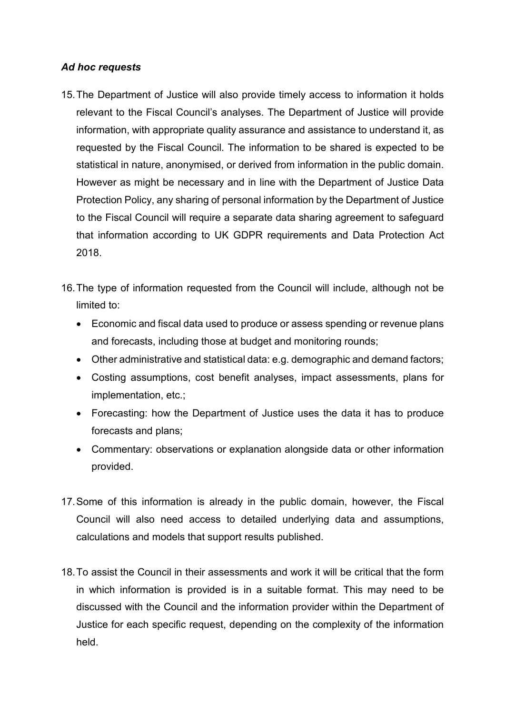## *Ad hoc requests*

- 15.The Department of Justice will also provide timely access to information it holds relevant to the Fiscal Council's analyses. The Department of Justice will provide information, with appropriate quality assurance and assistance to understand it, as requested by the Fiscal Council. The information to be shared is expected to be statistical in nature, anonymised, or derived from information in the public domain. However as might be necessary and in line with the Department of Justice Data Protection Policy, any sharing of personal information by the Department of Justice to the Fiscal Council will require a separate data sharing agreement to safeguard that information according to UK GDPR requirements and Data Protection Act 2018.
- 16.The type of information requested from the Council will include, although not be limited to:
	- Economic and fiscal data used to produce or assess spending or revenue plans and forecasts, including those at budget and monitoring rounds;
	- Other administrative and statistical data: e.g. demographic and demand factors;
	- Costing assumptions, cost benefit analyses, impact assessments, plans for implementation, etc.;
	- Forecasting: how the Department of Justice uses the data it has to produce forecasts and plans;
	- Commentary: observations or explanation alongside data or other information provided.
- 17.Some of this information is already in the public domain, however, the Fiscal Council will also need access to detailed underlying data and assumptions, calculations and models that support results published.
- 18.To assist the Council in their assessments and work it will be critical that the form in which information is provided is in a suitable format. This may need to be discussed with the Council and the information provider within the Department of Justice for each specific request, depending on the complexity of the information held.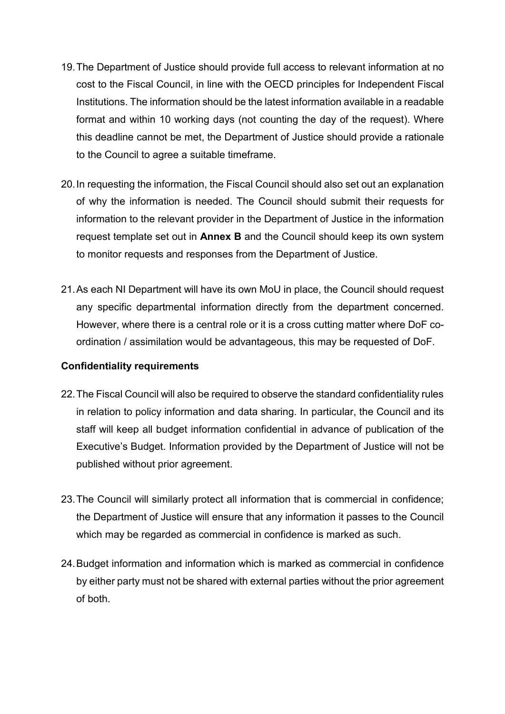- 19.The Department of Justice should provide full access to relevant information at no cost to the Fiscal Council, in line with the OECD principles for Independent Fiscal Institutions. The information should be the latest information available in a readable format and within 10 working days (not counting the day of the request). Where this deadline cannot be met, the Department of Justice should provide a rationale to the Council to agree a suitable timeframe.
- 20.In requesting the information, the Fiscal Council should also set out an explanation of why the information is needed. The Council should submit their requests for information to the relevant provider in the Department of Justice in the information request template set out in **Annex B** and the Council should keep its own system to monitor requests and responses from the Department of Justice.
- 21.As each NI Department will have its own MoU in place, the Council should request any specific departmental information directly from the department concerned. However, where there is a central role or it is a cross cutting matter where DoF coordination / assimilation would be advantageous, this may be requested of DoF.

# **Confidentiality requirements**

- 22.The Fiscal Council will also be required to observe the standard confidentiality rules in relation to policy information and data sharing. In particular, the Council and its staff will keep all budget information confidential in advance of publication of the Executive's Budget. Information provided by the Department of Justice will not be published without prior agreement.
- 23.The Council will similarly protect all information that is commercial in confidence; the Department of Justice will ensure that any information it passes to the Council which may be regarded as commercial in confidence is marked as such.
- 24.Budget information and information which is marked as commercial in confidence by either party must not be shared with external parties without the prior agreement of both.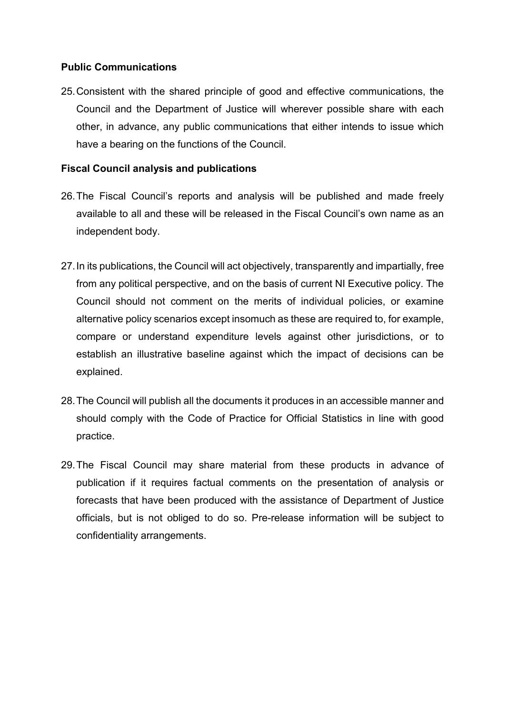## **Public Communications**

25.Consistent with the shared principle of good and effective communications, the Council and the Department of Justice will wherever possible share with each other, in advance, any public communications that either intends to issue which have a bearing on the functions of the Council.

## **Fiscal Council analysis and publications**

- 26.The Fiscal Council's reports and analysis will be published and made freely available to all and these will be released in the Fiscal Council's own name as an independent body.
- 27.In its publications, the Council will act objectively, transparently and impartially, free from any political perspective, and on the basis of current NI Executive policy. The Council should not comment on the merits of individual policies, or examine alternative policy scenarios except insomuch as these are required to, for example, compare or understand expenditure levels against other jurisdictions, or to establish an illustrative baseline against which the impact of decisions can be explained.
- 28.The Council will publish all the documents it produces in an accessible manner and should comply with the Code of Practice for Official Statistics in line with good practice.
- 29.The Fiscal Council may share material from these products in advance of publication if it requires factual comments on the presentation of analysis or forecasts that have been produced with the assistance of Department of Justice officials, but is not obliged to do so. Pre-release information will be subject to confidentiality arrangements.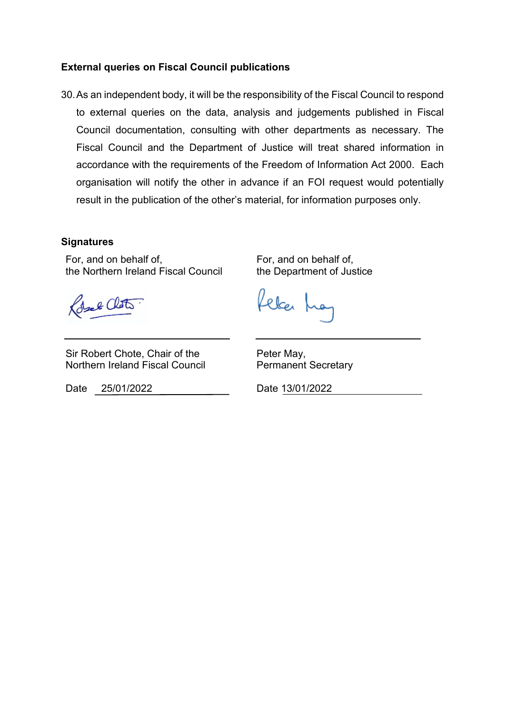### **External queries on Fiscal Council publications**

30.As an independent body, it will be the responsibility of the Fiscal Council to respond to external queries on the data, analysis and judgements published in Fiscal Council documentation, consulting with other departments as necessary. The Fiscal Council and the Department of Justice will treat shared information in accordance with the requirements of the Freedom of Information Act 2000. Each organisation will notify the other in advance if an FOI request would potentially result in the publication of the other's material, for information purposes only.

### **Signatures**

For, and on behalf of, the Northern Ireland Fiscal Council

Colste Clots

felcer f

For, and on behalf of, the Department of Justice

Sir Robert Chote, Chair of the Northern Ireland Fiscal Council

Date 25/01/2022 Date 13/01/2022

Peter May, Permanent Secretary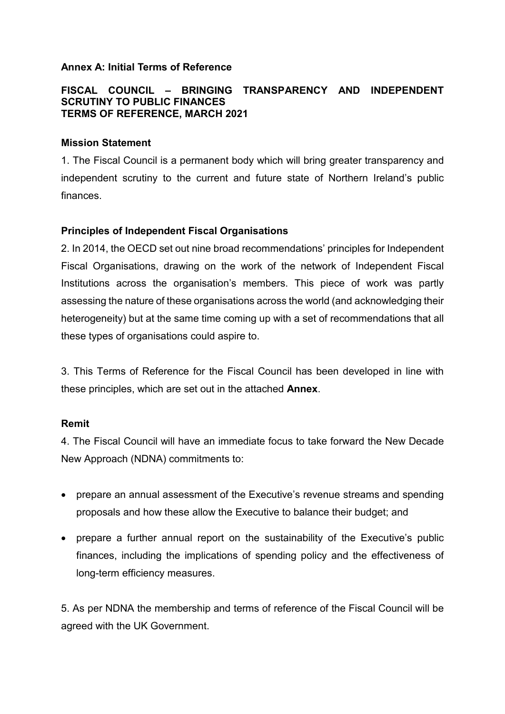### **Annex A: Initial Terms of Reference**

### **FISCAL COUNCIL – BRINGING TRANSPARENCY AND INDEPENDENT SCRUTINY TO PUBLIC FINANCES TERMS OF REFERENCE, MARCH 2021**

### **Mission Statement**

1. The Fiscal Council is a permanent body which will bring greater transparency and independent scrutiny to the current and future state of Northern Ireland's public finances.

# **Principles of Independent Fiscal Organisations**

2. In 2014, the OECD set out nine broad recommendations' principles for Independent Fiscal Organisations, drawing on the work of the network of Independent Fiscal Institutions across the organisation's members. This piece of work was partly assessing the nature of these organisations across the world (and acknowledging their heterogeneity) but at the same time coming up with a set of recommendations that all these types of organisations could aspire to.

3. This Terms of Reference for the Fiscal Council has been developed in line with these principles, which are set out in the attached **Annex**.

# **Remit**

4. The Fiscal Council will have an immediate focus to take forward the New Decade New Approach (NDNA) commitments to:

- prepare an annual assessment of the Executive's revenue streams and spending proposals and how these allow the Executive to balance their budget; and
- prepare a further annual report on the sustainability of the Executive's public finances, including the implications of spending policy and the effectiveness of long-term efficiency measures.

5. As per NDNA the membership and terms of reference of the Fiscal Council will be agreed with the UK Government.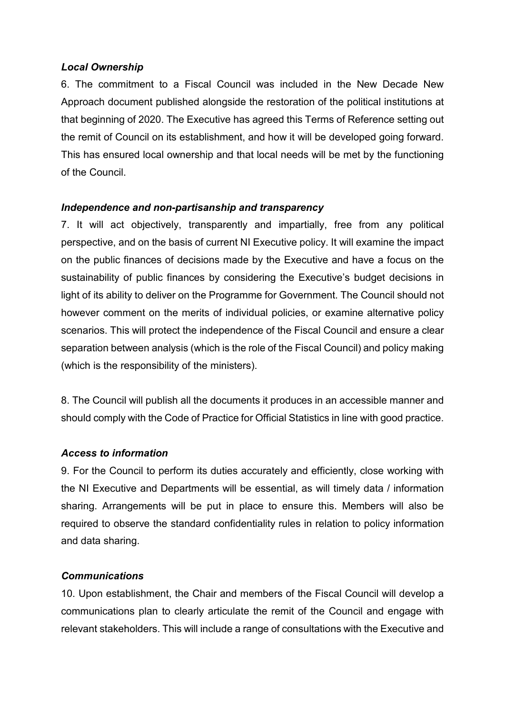## *Local Ownership*

6. The commitment to a Fiscal Council was included in the New Decade New Approach document published alongside the restoration of the political institutions at that beginning of 2020. The Executive has agreed this Terms of Reference setting out the remit of Council on its establishment, and how it will be developed going forward. This has ensured local ownership and that local needs will be met by the functioning of the Council.

## *Independence and non-partisanship and transparency*

7. It will act objectively, transparently and impartially, free from any political perspective, and on the basis of current NI Executive policy. It will examine the impact on the public finances of decisions made by the Executive and have a focus on the sustainability of public finances by considering the Executive's budget decisions in light of its ability to deliver on the Programme for Government. The Council should not however comment on the merits of individual policies, or examine alternative policy scenarios. This will protect the independence of the Fiscal Council and ensure a clear separation between analysis (which is the role of the Fiscal Council) and policy making (which is the responsibility of the ministers).

8. The Council will publish all the documents it produces in an accessible manner and should comply with the Code of Practice for Official Statistics in line with good practice.

# *Access to information*

9. For the Council to perform its duties accurately and efficiently, close working with the NI Executive and Departments will be essential, as will timely data / information sharing. Arrangements will be put in place to ensure this. Members will also be required to observe the standard confidentiality rules in relation to policy information and data sharing.

# *Communications*

10. Upon establishment, the Chair and members of the Fiscal Council will develop a communications plan to clearly articulate the remit of the Council and engage with relevant stakeholders. This will include a range of consultations with the Executive and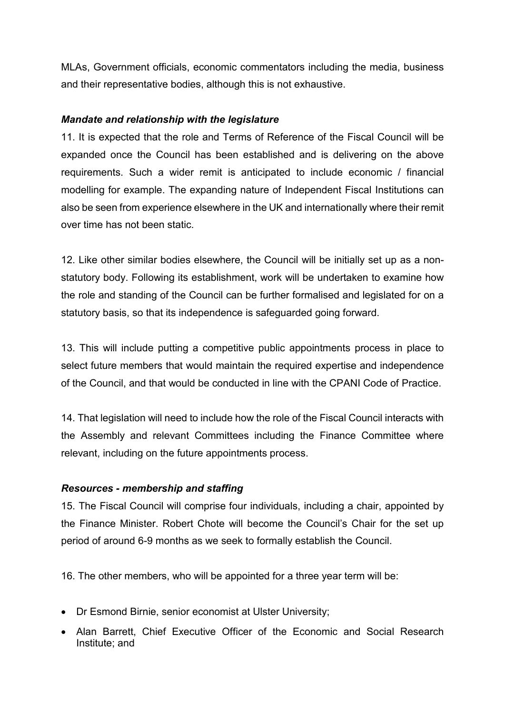MLAs, Government officials, economic commentators including the media, business and their representative bodies, although this is not exhaustive.

## *Mandate and relationship with the legislature*

11. It is expected that the role and Terms of Reference of the Fiscal Council will be expanded once the Council has been established and is delivering on the above requirements. Such a wider remit is anticipated to include economic / financial modelling for example. The expanding nature of Independent Fiscal Institutions can also be seen from experience elsewhere in the UK and internationally where their remit over time has not been static.

12. Like other similar bodies elsewhere, the Council will be initially set up as a nonstatutory body. Following its establishment, work will be undertaken to examine how the role and standing of the Council can be further formalised and legislated for on a statutory basis, so that its independence is safeguarded going forward.

13. This will include putting a competitive public appointments process in place to select future members that would maintain the required expertise and independence of the Council, and that would be conducted in line with the CPANI Code of Practice.

14. That legislation will need to include how the role of the Fiscal Council interacts with the Assembly and relevant Committees including the Finance Committee where relevant, including on the future appointments process.

# *Resources - membership and staffing*

15. The Fiscal Council will comprise four individuals, including a chair, appointed by the Finance Minister. Robert Chote will become the Council's Chair for the set up period of around 6-9 months as we seek to formally establish the Council.

16. The other members, who will be appointed for a three year term will be:

- Dr Esmond Birnie, senior economist at Ulster University;
- Alan Barrett, Chief Executive Officer of the Economic and Social Research Institute; and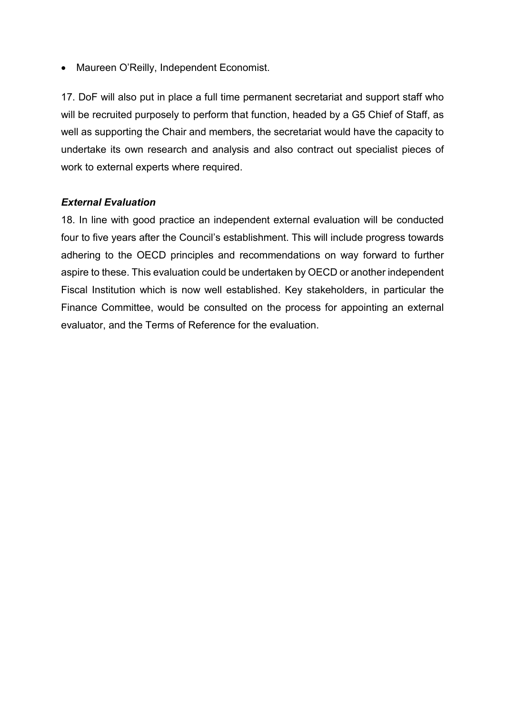• Maureen O'Reilly, Independent Economist.

17. DoF will also put in place a full time permanent secretariat and support staff who will be recruited purposely to perform that function, headed by a G5 Chief of Staff, as well as supporting the Chair and members, the secretariat would have the capacity to undertake its own research and analysis and also contract out specialist pieces of work to external experts where required.

## *External Evaluation*

18. In line with good practice an independent external evaluation will be conducted four to five years after the Council's establishment. This will include progress towards adhering to the OECD principles and recommendations on way forward to further aspire to these. This evaluation could be undertaken by OECD or another independent Fiscal Institution which is now well established. Key stakeholders, in particular the Finance Committee, would be consulted on the process for appointing an external evaluator, and the Terms of Reference for the evaluation.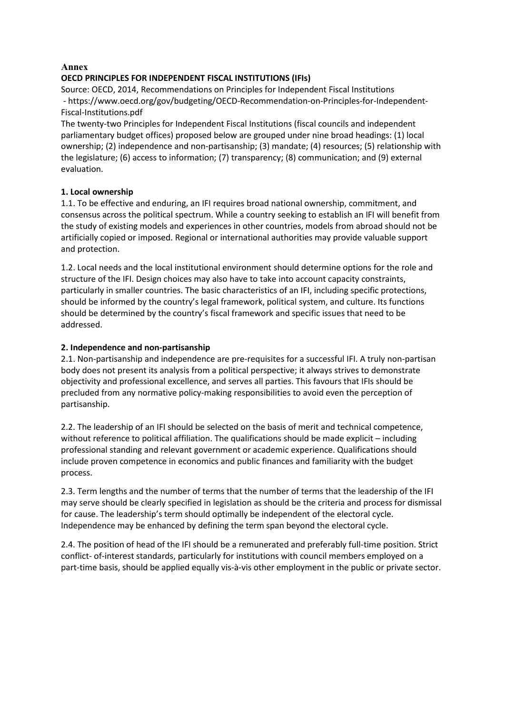#### **Annex**

### **OECD PRINCIPLES FOR INDEPENDENT FISCAL INSTITUTIONS (IFIs)**

Source: OECD, 2014, Recommendations on Principles for Independent Fiscal Institutions - https://www.oecd.org/gov/budgeting/OECD-Recommendation-on-Principles-for-Independent-Fiscal-Institutions.pdf

The twenty-two Principles for Independent Fiscal Institutions (fiscal councils and independent parliamentary budget offices) proposed below are grouped under nine broad headings: (1) local ownership; (2) independence and non-partisanship; (3) mandate; (4) resources; (5) relationship with the legislature; (6) access to information; (7) transparency; (8) communication; and (9) external evaluation.

### **1. Local ownership**

1.1. To be effective and enduring, an IFI requires broad national ownership, commitment, and consensus across the political spectrum. While a country seeking to establish an IFI will benefit from the study of existing models and experiences in other countries, models from abroad should not be artificially copied or imposed. Regional or international authorities may provide valuable support and protection.

1.2. Local needs and the local institutional environment should determine options for the role and structure of the IFI. Design choices may also have to take into account capacity constraints, particularly in smaller countries. The basic characteristics of an IFI, including specific protections, should be informed by the country's legal framework, political system, and culture. Its functions should be determined by the country's fiscal framework and specific issues that need to be addressed.

### **2. Independence and non-partisanship**

2.1. Non-partisanship and independence are pre-requisites for a successful IFI. A truly non-partisan body does not present its analysis from a political perspective; it always strives to demonstrate objectivity and professional excellence, and serves all parties. This favours that IFIs should be precluded from any normative policy-making responsibilities to avoid even the perception of partisanship.

2.2. The leadership of an IFI should be selected on the basis of merit and technical competence, without reference to political affiliation. The qualifications should be made explicit – including professional standing and relevant government or academic experience. Qualifications should include proven competence in economics and public finances and familiarity with the budget process.

2.3. Term lengths and the number of terms that the number of terms that the leadership of the IFI may serve should be clearly specified in legislation as should be the criteria and process for dismissal for cause. The leadership's term should optimally be independent of the electoral cycle. Independence may be enhanced by defining the term span beyond the electoral cycle.

2.4. The position of head of the IFI should be a remunerated and preferably full-time position. Strict conflict- of-interest standards, particularly for institutions with council members employed on a part-time basis, should be applied equally vis-à-vis other employment in the public or private sector.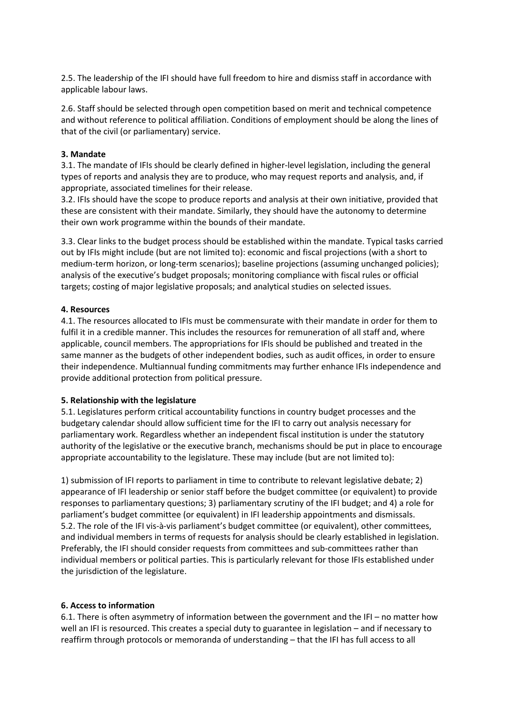2.5. The leadership of the IFI should have full freedom to hire and dismiss staff in accordance with applicable labour laws.

2.6. Staff should be selected through open competition based on merit and technical competence and without reference to political affiliation. Conditions of employment should be along the lines of that of the civil (or parliamentary) service.

#### **3. Mandate**

3.1. The mandate of IFIs should be clearly defined in higher-level legislation, including the general types of reports and analysis they are to produce, who may request reports and analysis, and, if appropriate, associated timelines for their release.

3.2. IFIs should have the scope to produce reports and analysis at their own initiative, provided that these are consistent with their mandate. Similarly, they should have the autonomy to determine their own work programme within the bounds of their mandate.

3.3. Clear links to the budget process should be established within the mandate. Typical tasks carried out by IFIs might include (but are not limited to): economic and fiscal projections (with a short to medium-term horizon, or long-term scenarios); baseline projections (assuming unchanged policies); analysis of the executive's budget proposals; monitoring compliance with fiscal rules or official targets; costing of major legislative proposals; and analytical studies on selected issues.

### **4. Resources**

4.1. The resources allocated to IFIs must be commensurate with their mandate in order for them to fulfil it in a credible manner. This includes the resources for remuneration of all staff and, where applicable, council members. The appropriations for IFIs should be published and treated in the same manner as the budgets of other independent bodies, such as audit offices, in order to ensure their independence. Multiannual funding commitments may further enhance IFIs independence and provide additional protection from political pressure.

#### **5. Relationship with the legislature**

5.1. Legislatures perform critical accountability functions in country budget processes and the budgetary calendar should allow sufficient time for the IFI to carry out analysis necessary for parliamentary work. Regardless whether an independent fiscal institution is under the statutory authority of the legislative or the executive branch, mechanisms should be put in place to encourage appropriate accountability to the legislature. These may include (but are not limited to):

1) submission of IFI reports to parliament in time to contribute to relevant legislative debate; 2) appearance of IFI leadership or senior staff before the budget committee (or equivalent) to provide responses to parliamentary questions; 3) parliamentary scrutiny of the IFI budget; and 4) a role for parliament's budget committee (or equivalent) in IFI leadership appointments and dismissals. 5.2. The role of the IFI vis-à-vis parliament's budget committee (or equivalent), other committees, and individual members in terms of requests for analysis should be clearly established in legislation. Preferably, the IFI should consider requests from committees and sub-committees rather than individual members or political parties. This is particularly relevant for those IFIs established under the jurisdiction of the legislature.

### **6. Access to information**

6.1. There is often asymmetry of information between the government and the IFI – no matter how well an IFI is resourced. This creates a special duty to guarantee in legislation – and if necessary to reaffirm through protocols or memoranda of understanding – that the IFI has full access to all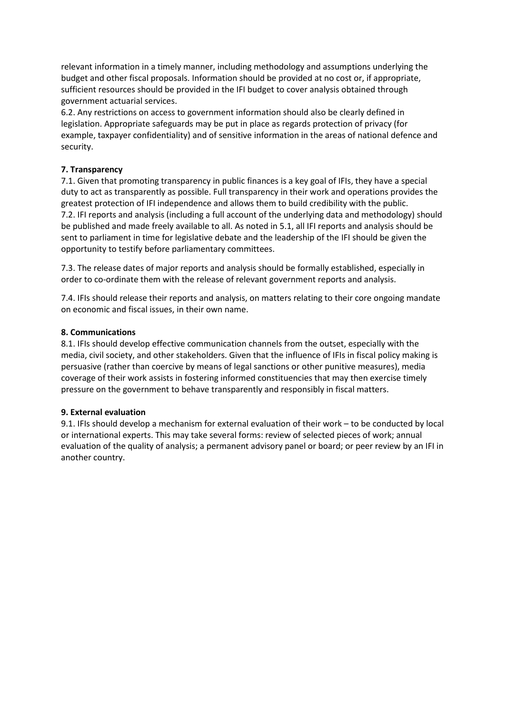relevant information in a timely manner, including methodology and assumptions underlying the budget and other fiscal proposals. Information should be provided at no cost or, if appropriate, sufficient resources should be provided in the IFI budget to cover analysis obtained through government actuarial services.

6.2. Any restrictions on access to government information should also be clearly defined in legislation. Appropriate safeguards may be put in place as regards protection of privacy (for example, taxpayer confidentiality) and of sensitive information in the areas of national defence and security.

### **7. Transparency**

7.1. Given that promoting transparency in public finances is a key goal of IFIs, they have a special duty to act as transparently as possible. Full transparency in their work and operations provides the greatest protection of IFI independence and allows them to build credibility with the public. 7.2. IFI reports and analysis (including a full account of the underlying data and methodology) should be published and made freely available to all. As noted in 5.1, all IFI reports and analysis should be sent to parliament in time for legislative debate and the leadership of the IFI should be given the opportunity to testify before parliamentary committees.

7.3. The release dates of major reports and analysis should be formally established, especially in order to co-ordinate them with the release of relevant government reports and analysis.

7.4. IFIs should release their reports and analysis, on matters relating to their core ongoing mandate on economic and fiscal issues, in their own name.

#### **8. Communications**

8.1. IFIs should develop effective communication channels from the outset, especially with the media, civil society, and other stakeholders. Given that the influence of IFIs in fiscal policy making is persuasive (rather than coercive by means of legal sanctions or other punitive measures), media coverage of their work assists in fostering informed constituencies that may then exercise timely pressure on the government to behave transparently and responsibly in fiscal matters.

#### **9. External evaluation**

9.1. IFIs should develop a mechanism for external evaluation of their work – to be conducted by local or international experts. This may take several forms: review of selected pieces of work; annual evaluation of the quality of analysis; a permanent advisory panel or board; or peer review by an IFI in another country.